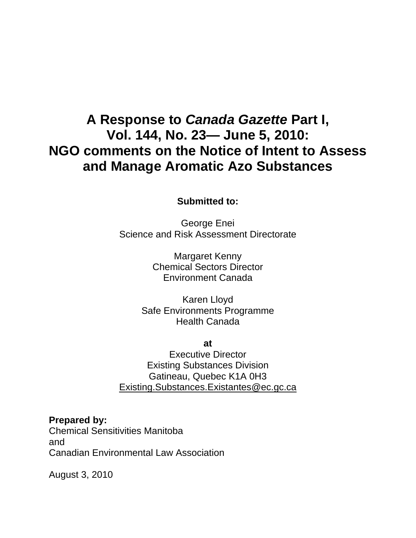# **A Response to** *Canada Gazette* **Part I, Vol. 144, No. 23— June 5, 2010: NGO comments on the Notice of Intent to Assess and Manage Aromatic Azo Substances**

**Submitted to:** 

George Enei Science and Risk Assessment Directorate

> Margaret Kenny Chemical Sectors Director Environment Canada

Karen Lloyd Safe Environments Programme Health Canada

**at** 

Executive Director Existing Substances Division Gatineau, Quebec K1A 0H3 Existing.Substances.Existantes@ec.gc.ca

**Prepared by:**  Chemical Sensitivities Manitoba and Canadian Environmental Law Association

August 3, 2010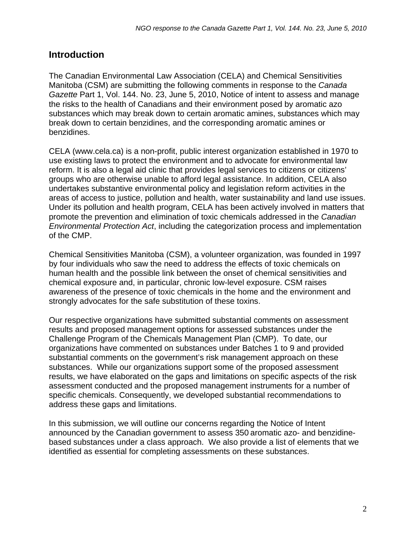### **Introduction**

The Canadian Environmental Law Association (CELA) and Chemical Sensitivities Manitoba (CSM) are submitting the following comments in response to the *Canada Gazette* Part 1, Vol. 144. No. 23, June 5, 2010, Notice of intent to assess and manage the risks to the health of Canadians and their environment posed by aromatic azo substances which may break down to certain aromatic amines, substances which may break down to certain benzidines, and the corresponding aromatic amines or benzidines.

CELA (www.cela.ca) is a non-profit, public interest organization established in 1970 to use existing laws to protect the environment and to advocate for environmental law reform. It is also a legal aid clinic that provides legal services to citizens or citizens' groups who are otherwise unable to afford legal assistance. In addition, CELA also undertakes substantive environmental policy and legislation reform activities in the areas of access to justice, pollution and health, water sustainability and land use issues. Under its pollution and health program, CELA has been actively involved in matters that promote the prevention and elimination of toxic chemicals addressed in the *Canadian Environmental Protection Act*, including the categorization process and implementation of the CMP.

Chemical Sensitivities Manitoba (CSM), a volunteer organization, was founded in 1997 by four individuals who saw the need to address the effects of toxic chemicals on human health and the possible link between the onset of chemical sensitivities and chemical exposure and, in particular, chronic low-level exposure. CSM raises awareness of the presence of toxic chemicals in the home and the environment and strongly advocates for the safe substitution of these toxins.

Our respective organizations have submitted substantial comments on assessment results and proposed management options for assessed substances under the Challenge Program of the Chemicals Management Plan (CMP). To date, our organizations have commented on substances under Batches 1 to 9 and provided substantial comments on the government's risk management approach on these substances. While our organizations support some of the proposed assessment results, we have elaborated on the gaps and limitations on specific aspects of the risk assessment conducted and the proposed management instruments for a number of specific chemicals. Consequently, we developed substantial recommendations to address these gaps and limitations.

In this submission, we will outline our concerns regarding the Notice of Intent announced by the Canadian government to assess 350 aromatic azo- and benzidinebased substances under a class approach. We also provide a list of elements that we identified as essential for completing assessments on these substances.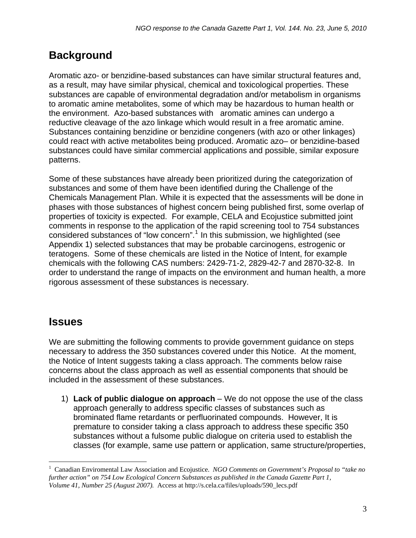### **Background**

Aromatic azo- or benzidine-based substances can have similar structural features and, as a result, may have similar physical, chemical and toxicological properties. These substances are capable of environmental degradation and/or metabolism in organisms to aromatic amine metabolites, some of which may be hazardous to human health or the environment. Azo-based substances with aromatic amines can undergo a reductive cleavage of the azo linkage which would result in a free aromatic amine. Substances containing benzidine or benzidine congeners (with azo or other linkages) could react with active metabolites being produced. Aromatic azo– or benzidine-based substances could have similar commercial applications and possible, similar exposure patterns.

Some of these substances have already been prioritized during the categorization of substances and some of them have been identified during the Challenge of the Chemicals Management Plan. While it is expected that the assessments will be done in phases with those substances of highest concern being published first, some overlap of properties of toxicity is expected. For example, CELA and Ecojustice submitted joint comments in response to the application of the rapid screening tool to 754 substances considered substances of "low concern".<sup>[1](#page-2-0)</sup> In this submission, we highlighted (see Appendix 1) selected substances that may be probable carcinogens, estrogenic or teratogens. Some of these chemicals are listed in the Notice of Intent, for example chemicals with the following CAS numbers: 2429-71-2, 2829-42-7 and 2870-32-8. In order to understand the range of impacts on the environment and human health, a more rigorous assessment of these substances is necessary.

### **Issues**

 $\overline{a}$ 

We are submitting the following comments to provide government guidance on steps necessary to address the 350 substances covered under this Notice. At the moment, the Notice of Intent suggests taking a class approach. The comments below raise concerns about the class approach as well as essential components that should be included in the assessment of these substances.

1) **Lack of public dialogue on approach** – We do not oppose the use of the class approach generally to address specific classes of substances such as brominated flame retardants or perfluorinated compounds. However, It is premature to consider taking a class approach to address these specific 350 substances without a fulsome public dialogue on criteria used to establish the classes (for example, same use pattern or application, same structure/properties,

<span id="page-2-0"></span><sup>1</sup> Canadian Enviromental Law Association and Ecojustice. *NGO Comments on Government's Proposal to "take no further action" on 754 Low Ecological Concern Substances as published in the Canada Gazette Part 1, Volume 41, Number 25 (August 2007).* Access at http://s.cela.ca/files/uploads/590\_lecs.pdf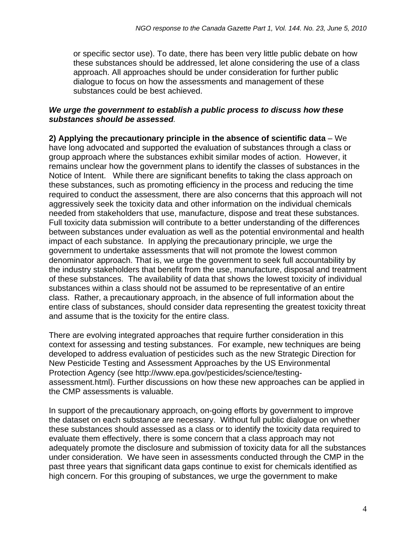or specific sector use). To date, there has been very little public debate on how these substances should be addressed, let alone considering the use of a class approach. All approaches should be under consideration for further public dialogue to focus on how the assessments and management of these substances could be best achieved.

#### *We urge the government to establish a public process to discuss how these substances should be assessed.*

**2) Applying the precautionary principle in the absence of scientific data** – We have long advocated and supported the evaluation of substances through a class or group approach where the substances exhibit similar modes of action. However, it remains unclear how the government plans to identify the classes of substances in the Notice of Intent. While there are significant benefits to taking the class approach on these substances, such as promoting efficiency in the process and reducing the time required to conduct the assessment, there are also concerns that this approach will not aggressively seek the toxicity data and other information on the individual chemicals needed from stakeholders that use, manufacture, dispose and treat these substances. Full toxicity data submission will contribute to a better understanding of the differences between substances under evaluation as well as the potential environmental and health impact of each substance. In applying the precautionary principle, we urge the government to undertake assessments that will not promote the lowest common denominator approach. That is, we urge the government to seek full accountability by the industry stakeholders that benefit from the use, manufacture, disposal and treatment of these substances. The availability of data that shows the lowest toxicity of individual substances within a class should not be assumed to be representative of an entire class. Rather, a precautionary approach, in the absence of full information about the entire class of substances, should consider data representing the greatest toxicity threat and assume that is the toxicity for the entire class.

There are evolving integrated approaches that require further consideration in this context for assessing and testing substances. For example, new techniques are being developed to address evaluation of pesticides such as the new Strategic Direction for New Pesticide Testing and Assessment Approaches by the US Environmental Protection Agency (see [http://www.epa.gov/pesticides/science/testing](http://www.epa.gov/pesticides/science/testing-assessment.html)[assessment.html](http://www.epa.gov/pesticides/science/testing-assessment.html)). Further discussions on how these new approaches can be applied in the CMP assessments is valuable.

In support of the precautionary approach, on-going efforts by government to improve the dataset on each substance are necessary. Without full public dialogue on whether these substances should assessed as a class or to identify the toxicity data required to evaluate them effectively, there is some concern that a class approach may not adequately promote the disclosure and submission of toxicity data for all the substances under consideration. We have seen in assessments conducted through the CMP in the past three years that significant data gaps continue to exist for chemicals identified as high concern. For this grouping of substances, we urge the government to make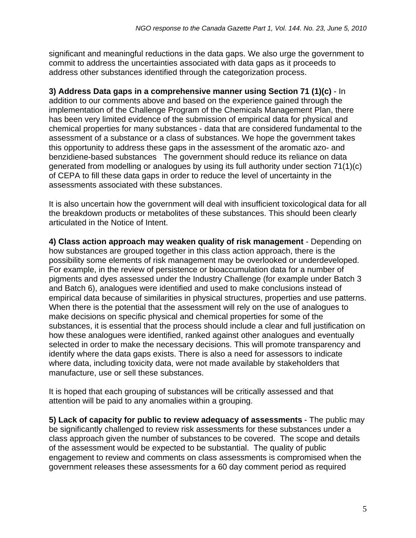significant and meaningful reductions in the data gaps. We also urge the government to commit to address the uncertainties associated with data gaps as it proceeds to address other substances identified through the categorization process.

**3) Address Data gaps in a comprehensive manner using Section 71 (1)(c)** - In addition to our comments above and based on the experience gained through the implementation of the Challenge Program of the Chemicals Management Plan, there has been very limited evidence of the submission of empirical data for physical and chemical properties for many substances - data that are considered fundamental to the assessment of a substance or a class of substances. We hope the government takes this opportunity to address these gaps in the assessment of the aromatic azo- and benzidiene-based substances The government should reduce its reliance on data generated from modelling or analogues by using its full authority under section 71(1)(c) of CEPA to fill these data gaps in order to reduce the level of uncertainty in the assessments associated with these substances.

It is also uncertain how the government will deal with insufficient toxicological data for all the breakdown products or metabolites of these substances. This should been clearly articulated in the Notice of Intent.

**4) Class action approach may weaken quality of risk management** - Depending on how substances are grouped together in this class action approach, there is the possibility some elements of risk management may be overlooked or underdeveloped. For example, in the review of persistence or bioaccumulation data for a number of pigments and dyes assessed under the Industry Challenge (for example under Batch 3 and Batch 6), analogues were identified and used to make conclusions instead of empirical data because of similarities in physical structures, properties and use patterns. When there is the potential that the assessment will rely on the use of analogues to make decisions on specific physical and chemical properties for some of the substances, it is essential that the process should include a clear and full justification on how these analogues were identified, ranked against other analogues and eventually selected in order to make the necessary decisions. This will promote transparency and identify where the data gaps exists. There is also a need for assessors to indicate where data, including toxicity data, were not made available by stakeholders that manufacture, use or sell these substances.

It is hoped that each grouping of substances will be critically assessed and that attention will be paid to any anomalies within a grouping.

**5) Lack of capacity for public to review adequacy of assessments** - The public may be significantly challenged to review risk assessments for these substances under a class approach given the number of substances to be covered. The scope and details of the assessment would be expected to be substantial. The quality of public engagement to review and comments on class assessments is compromised when the government releases these assessments for a 60 day comment period as required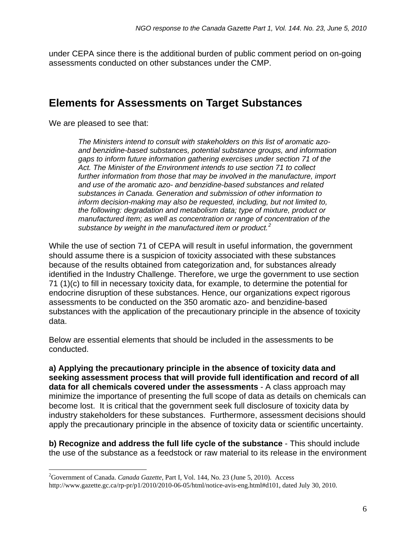under CEPA since there is the additional burden of public comment period on on-going assessments conducted on other substances under the CMP.

### **Elements for Assessments on Target Substances**

We are pleased to see that:

 $\overline{a}$ 

*The Ministers intend to consult with stakeholders on this list of aromatic azoand benzidine-based substances, potential substance groups, and information gaps to inform future information gathering exercises under section 71 of the Act. The Minister of the Environment intends to use section 71 to collect*  further information from those that may be involved in the manufacture, import *and use of the aromatic azo- and benzidine-based substances and related substances in Canada. Generation and submission of other information to inform decision-making may also be requested, including, but not limited to, the following: degradation and metabolism data; type of mixture, product or manufactured item; as well as concentration or range of concentration of the substance by weight in the manufactured item or product.[2](#page-5-0)*

While the use of section 71 of CEPA will result in useful information, the government should assume there is a suspicion of toxicity associated with these substances because of the results obtained from categorization and, for substances already identified in the Industry Challenge. Therefore, we urge the government to use section 71 (1)(c) to fill in necessary toxicity data, for example, to determine the potential for endocrine disruption of these substances. Hence, our organizations expect rigorous assessments to be conducted on the 350 aromatic azo- and benzidine-based substances with the application of the precautionary principle in the absence of toxicity data.

Below are essential elements that should be included in the assessments to be conducted.

**a) Applying the precautionary principle in the absence of toxicity data and seeking assessment process that will provide full identification and record of all data for all chemicals covered under the assessments** - A class approach may minimize the importance of presenting the full scope of data as details on chemicals can become lost. It is critical that the government seek full disclosure of toxicity data by industry stakeholders for these substances. Furthermore, assessment decisions should apply the precautionary principle in the absence of toxicity data or scientific uncertainty.

**b) Recognize and address the full life cycle of the substance** - This should include the use of the substance as a feedstock or raw material to its release in the environment

<span id="page-5-0"></span><sup>2</sup> Government of Canada. *Canada Gazette*, Part I, Vol. 144, No. 23 (June 5, 2010). Access

[http://www.gazette.gc.ca/rp-pr/p1/2010/2010-06-05/html/notice-avis-eng.html#d101,](http://www.gazette.gc.ca/rp-pr/p1/2010/2010-06-05/html/notice-avis-eng.html#d101) dated July 30, 2010.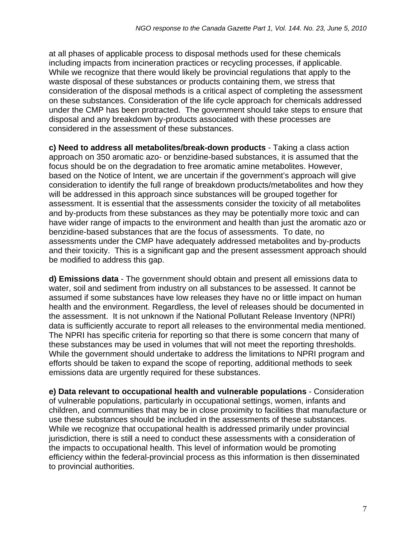at all phases of applicable process to disposal methods used for these chemicals including impacts from incineration practices or recycling processes, if applicable. While we recognize that there would likely be provincial regulations that apply to the waste disposal of these substances or products containing them, we stress that consideration of the disposal methods is a critical aspect of completing the assessment on these substances. Consideration of the life cycle approach for chemicals addressed under the CMP has been protracted. The government should take steps to ensure that disposal and any breakdown by-products associated with these processes are considered in the assessment of these substances.

**c) Need to address all metabolites/break-down products** - Taking a class action approach on 350 aromatic azo- or benzidine-based substances, it is assumed that the focus should be on the degradation to free aromatic amine metabolites. However, based on the Notice of Intent, we are uncertain if the government's approach will give consideration to identify the full range of breakdown products/metabolites and how they will be addressed in this approach since substances will be grouped together for assessment. It is essential that the assessments consider the toxicity of all metabolites and by-products from these substances as they may be potentially more toxic and can have wider range of impacts to the environment and health than just the aromatic azo or benzidine-based substances that are the focus of assessments. To date, no assessments under the CMP have adequately addressed metabolites and by-products and their toxicity. This is a significant gap and the present assessment approach should be modified to address this gap.

**d) Emissions data** - The government should obtain and present all emissions data to water, soil and sediment from industry on all substances to be assessed. It cannot be assumed if some substances have low releases they have no or little impact on human health and the environment. Regardless, the level of releases should be documented in the assessment. It is not unknown if the National Pollutant Release Inventory (NPRI) data is sufficiently accurate to report all releases to the environmental media mentioned. The NPRI has specific criteria for reporting so that there is some concern that many of these substances may be used in volumes that will not meet the reporting thresholds. While the government should undertake to address the limitations to NPRI program and efforts should be taken to expand the scope of reporting, additional methods to seek emissions data are urgently required for these substances.

**e) Data relevant to occupational health and vulnerable populations** - Consideration of vulnerable populations, particularly in occupational settings, women, infants and children, and communities that may be in close proximity to facilities that manufacture or use these substances should be included in the assessments of these substances. While we recognize that occupational health is addressed primarily under provincial jurisdiction, there is still a need to conduct these assessments with a consideration of the impacts to occupational health. This level of information would be promoting efficiency within the federal-provincial process as this information is then disseminated to provincial authorities.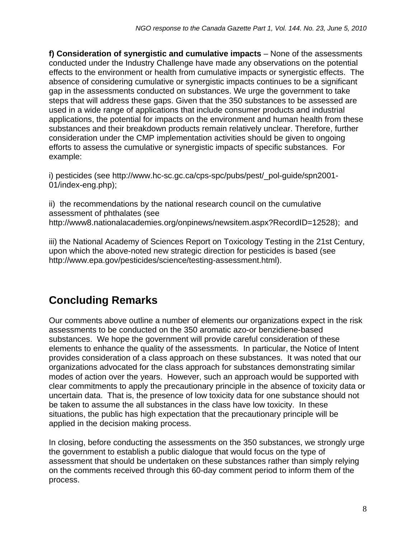**f) Consideration of synergistic and cumulative impacts** – None of the assessments conducted under the Industry Challenge have made any observations on the potential effects to the environment or health from cumulative impacts or synergistic effects. The absence of considering cumulative or synergistic impacts continues to be a significant gap in the assessments conducted on substances. We urge the government to take steps that will address these gaps. Given that the 350 substances to be assessed are used in a wide range of applications that include consumer products and industrial applications, the potential for impacts on the environment and human health from these substances and their breakdown products remain relatively unclear. Therefore, further consideration under the CMP implementation activities should be given to ongoing efforts to assess the cumulative or synergistic impacts of specific substances. For example:

i) pesticides (see http://www.hc-sc.gc.ca/cps-spc/pubs/pest/\_pol-guide/spn2001- 01/index-eng.php);

ii) the recommendations by the national research council on the cumulative assessment of phthalates (see <http://www8.nationalacademies.org/onpinews/newsitem.aspx?RecordID=12528>); and

iii) the National Academy of Sciences Report on Toxicology Testing in the 21st Century, upon which the above-noted new strategic direction for pesticides is based (see http://www.epa.gov/pesticides/science/testing-assessment.html).

## **Concluding Remarks**

Our comments above outline a number of elements our organizations expect in the risk assessments to be conducted on the 350 aromatic azo-or benzidiene-based substances. We hope the government will provide careful consideration of these elements to enhance the quality of the assessments. In particular, the Notice of Intent provides consideration of a class approach on these substances. It was noted that our organizations advocated for the class approach for substances demonstrating similar modes of action over the years. However, such an approach would be supported with clear commitments to apply the precautionary principle in the absence of toxicity data or uncertain data. That is, the presence of low toxicity data for one substance should not be taken to assume the all substances in the class have low toxicity. In these situations, the public has high expectation that the precautionary principle will be applied in the decision making process.

In closing, before conducting the assessments on the 350 substances, we strongly urge the government to establish a public dialogue that would focus on the type of assessment that should be undertaken on these substances rather than simply relying on the comments received through this 60-day comment period to inform them of the process.